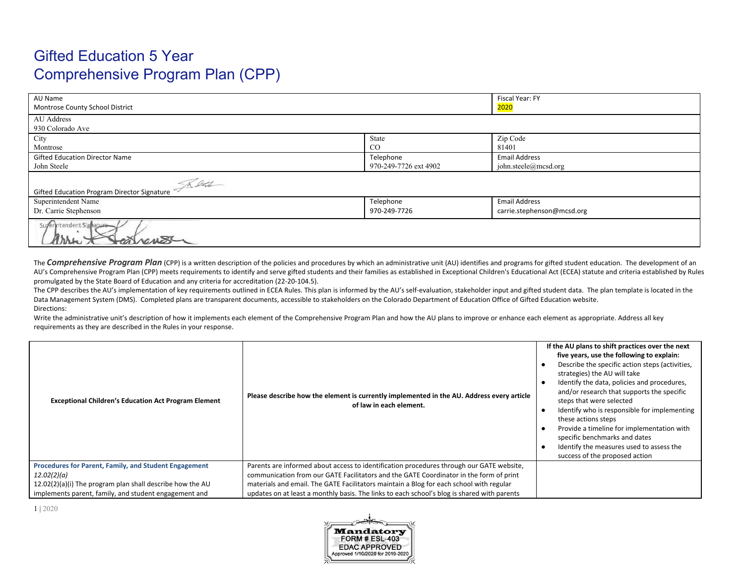# Gifted Education 5 Year Comprehensive Program Plan (CPP)

| AU Name                                            |                       | Fiscal Year: FY            |  |
|----------------------------------------------------|-----------------------|----------------------------|--|
| Montrose County School District                    |                       | <mark>2020</mark>          |  |
| AU Address                                         |                       |                            |  |
| 930 Colorado Ave                                   |                       |                            |  |
| City                                               | State                 | Zip Code                   |  |
| Montrose                                           | CO                    | 81401                      |  |
| <b>Gifted Education Director Name</b>              | Telephone             | <b>Email Address</b>       |  |
| John Steele                                        | 970-249-7726 ext 4902 | john.steele@mcsd.org       |  |
| Rette                                              |                       |                            |  |
| <b>Gifted Education Program Director Signature</b> |                       |                            |  |
| Superintendent Name                                | Telephone             | <b>Email Address</b>       |  |
| Dr. Carrie Stephenson                              | 970-249-7726          | carrie.stephenson@mcsd.org |  |
| Superintendent Signature                           |                       |                            |  |

The Comprehensive Program Plan (CPP) is a written description of the policies and procedures by which an administrative unit (AU) identifies and programs for gifted student education. The development of an AU's Comprehensive Program Plan (CPP) meets requirements to identify and serve gifted students and their families as established in Exceptional Children's Educational Act (ECEA) statute and criteria established by Rules promulgated by the State Board of Education and any criteria for accreditation (22-20-104.5).

The CPP describes the AU's implementation of key requirements outlined in ECEA Rules. This plan is informed by the AU's self-evaluation, stakeholder input and gifted student data. The plan template is located in the Data Management System (DMS). Completed plans are transparent documents, accessible to stakeholders on the Colorado Department of Education Office of Gifted Education website. Directions:

Write the administrative unit's description of how it implements each element of the Comprehensive Program Plan and how the AU plans to improve or enhance each element as appropriate. Address all key requirements as they are described in the Rules in your response.

| <b>Exceptional Children's Education Act Program Element</b>                                                                                                                                | Please describe how the element is currently implemented in the AU. Address every article<br>of law in each element.                                                                                                                                                                                                                                                         | If the AU plans to shift practices over the next<br>five years, use the following to explain:<br>Describe the specific action steps (activities,<br>strategies) the AU will take<br>Identify the data, policies and procedures,<br>and/or research that supports the specific<br>steps that were selected<br>Identify who is responsible for implementing<br>these actions steps<br>Provide a timeline for implementation with<br>specific benchmarks and dates<br>Identify the measures used to assess the<br>success of the proposed action |
|--------------------------------------------------------------------------------------------------------------------------------------------------------------------------------------------|------------------------------------------------------------------------------------------------------------------------------------------------------------------------------------------------------------------------------------------------------------------------------------------------------------------------------------------------------------------------------|-----------------------------------------------------------------------------------------------------------------------------------------------------------------------------------------------------------------------------------------------------------------------------------------------------------------------------------------------------------------------------------------------------------------------------------------------------------------------------------------------------------------------------------------------|
| Procedures for Parent, Family, and Student Engagement<br>12.02(2)(a)<br>12.02(2)(a)(i) The program plan shall describe how the AU<br>implements parent, family, and student engagement and | Parents are informed about access to identification procedures through our GATE website,<br>communication from our GATE Facilitators and the GATE Coordinator in the form of print<br>materials and email. The GATE Facilitators maintain a Blog for each school with regular<br>updates on at least a monthly basis. The links to each school's blog is shared with parents |                                                                                                                                                                                                                                                                                                                                                                                                                                                                                                                                               |

1 | 2020

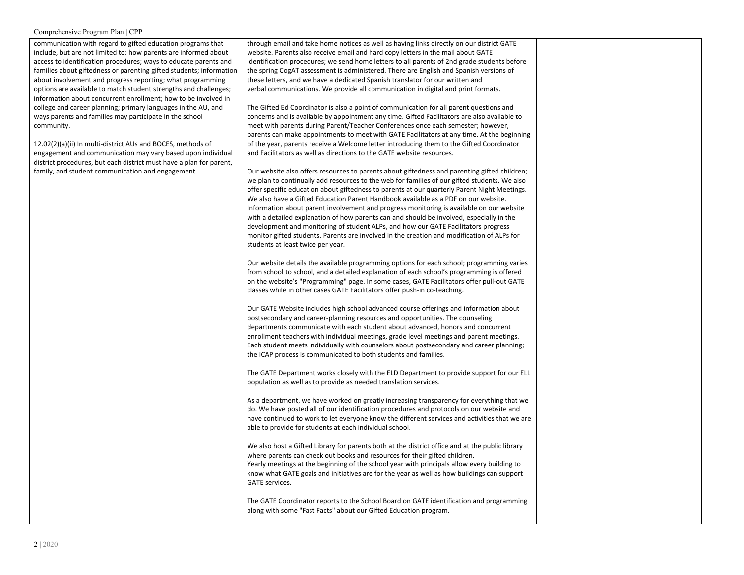communication with regard to gifted education programs that include, but are not limited to: how parents are informed about access to identification procedures; ways to educate parents and families about giftedness or parenting gifted students; information about involvement and progress reporting; what programming options are available to match student strengths and challenges; information about concurrent enrollment; how to be involved in college and career planning; primary languages in the AU, and ways parents and families may participate in the school community.

12.02(2)(a)(ii) In multi-district AUs and BOCES, methods of engagement and communication may vary based upon individual district procedures, but each district must have a plan for parent, family, and student communication and engagement.

through email and take home notices as well as having links directly on our district GATE website. Parents also receive email and hard copy letters in the mail about GATE identification procedures; we send home letters to all parents of 2nd grade students before the spring CogAT assessment is administered. There are English and Spanish versions of these letters, and we have a dedicated Spanish translator for our written and verbal communications. We provide all communication in digital and print formats.

The Gifted Ed Coordinator is also a point of communication for all parent questions and concerns and is available by appointment any time. Gifted Facilitators are also available to meet with parents during Parent/Teacher Conferences once each semester; however, parents can make appointments to meet with GATE Facilitators at any time. At the beginning of the year, parents receive a Welcome letter introducing them to the Gifted Coordinator and Facilitators as well as directions to the GATE website resources.

Our website also offers resources to parents about giftedness and parenting gifted children; we plan to continually add resources to the web for families of our gifted students. We also offer specific education about giftedness to parents at our quarterly Parent Night Meetings. We also have a Gifted Education Parent Handbook available as a PDF on our website. Information about parent involvement and progress monitoring is available on our website with a detailed explanation of how parents can and should be involved, especially in the development and monitoring of student ALPs, and how our GATE Facilitators progress monitor gifted students. Parents are involved in the creation and modification of ALPs for students at least twice per year.

Our website details the available programming options for each school; programming varies from school to school, and a detailed explanation of each school's programming is offered on the website's "Programming" page. In some cases, GATE Facilitators offer pull-out GATE classes while in other cases GATE Facilitators offer push-in co-teaching.

Our GATE Website includes high school advanced course offerings and information about postsecondary and career-planning resources and opportunities. The counseling departments communicate with each student about advanced, honors and concurrent enrollment teachers with individual meetings, grade level meetings and parent meetings. Each student meets individually with counselors about postsecondary and career planning; the ICAP process is communicated to both students and families.

The GATE Department works closely with the ELD Department to provide support for our ELL population as well as to provide as needed translation services.

As a department, we have worked on greatly increasing transparency for everything that we do. We have posted all of our identification procedures and protocols on our website and have continued to work to let everyone know the different services and activities that we are able to provide for students at each individual school.

We also host a Gifted Library for parents both at the district office and at the public library where parents can check out books and resources for their gifted children. Yearly meetings at the beginning of the school year with principals allow every building to know what GATE goals and initiatives are for the year as well as how buildings can support GATE services.

The GATE Coordinator reports to the School Board on GATE identification and programming along with some "Fast Facts" about our Gifted Education program.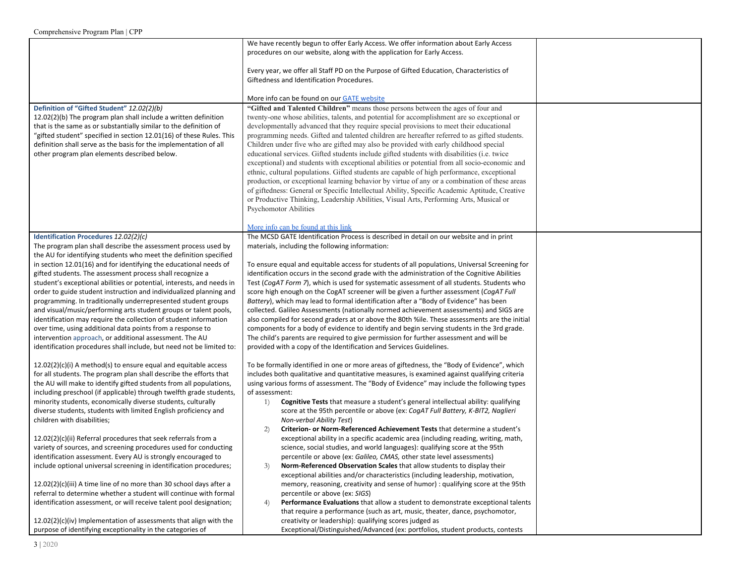| Definition of "Gifted Student" 12.02(2)(b)<br>12.02(2)(b) The program plan shall include a written definition<br>that is the same as or substantially similar to the definition of<br>"gifted student" specified in section 12.01(16) of these Rules. This<br>definition shall serve as the basis for the implementation of all<br>other program plan elements described below.                                                                                                                                                                                                                                                                                                                                                                                                                                                                                                                                                                                                                                                                                                             | We have recently begun to offer Early Access. We offer information about Early Access<br>procedures on our website, along with the application for Early Access.<br>Every year, we offer all Staff PD on the Purpose of Gifted Education, Characteristics of<br>Giftedness and Identification Procedures.<br>More info can be found on our GATE website<br>"Gifted and Talented Children" means those persons between the ages of four and<br>twenty-one whose abilities, talents, and potential for accomplishment are so exceptional or<br>developmentally advanced that they require special provisions to meet their educational<br>programming needs. Gifted and talented children are hereafter referred to as gifted students.<br>Children under five who are gifted may also be provided with early childhood special<br>educational services. Gifted students include gifted students with disabilities (i.e. twice<br>exceptional) and students with exceptional abilities or potential from all socio-economic and<br>ethnic, cultural populations. Gifted students are capable of high performance, exceptional<br>production, or exceptional learning behavior by virtue of any or a combination of these areas<br>of giftedness: General or Specific Intellectual Ability, Specific Academic Aptitude, Creative<br>or Productive Thinking, Leadership Abilities, Visual Arts, Performing Arts, Musical or<br><b>Psychomotor Abilities</b>                              |  |
|---------------------------------------------------------------------------------------------------------------------------------------------------------------------------------------------------------------------------------------------------------------------------------------------------------------------------------------------------------------------------------------------------------------------------------------------------------------------------------------------------------------------------------------------------------------------------------------------------------------------------------------------------------------------------------------------------------------------------------------------------------------------------------------------------------------------------------------------------------------------------------------------------------------------------------------------------------------------------------------------------------------------------------------------------------------------------------------------|--------------------------------------------------------------------------------------------------------------------------------------------------------------------------------------------------------------------------------------------------------------------------------------------------------------------------------------------------------------------------------------------------------------------------------------------------------------------------------------------------------------------------------------------------------------------------------------------------------------------------------------------------------------------------------------------------------------------------------------------------------------------------------------------------------------------------------------------------------------------------------------------------------------------------------------------------------------------------------------------------------------------------------------------------------------------------------------------------------------------------------------------------------------------------------------------------------------------------------------------------------------------------------------------------------------------------------------------------------------------------------------------------------------------------------------------------------------------------------------|--|
| Identification Procedures 12.02(2)(c)<br>The program plan shall describe the assessment process used by<br>the AU for identifying students who meet the definition specified<br>in section 12.01(16) and for identifying the educational needs of<br>gifted students. The assessment process shall recognize a<br>student's exceptional abilities or potential, interests, and needs in<br>order to guide student instruction and individualized planning and<br>programming. In traditionally underrepresented student groups<br>and visual/music/performing arts student groups or talent pools,<br>identification may require the collection of student information<br>over time, using additional data points from a response to<br>intervention approach, or additional assessment. The AU<br>identification procedures shall include, but need not be limited to:                                                                                                                                                                                                                     | More info can be found at this link<br>The MCSD GATE Identification Process is described in detail on our website and in print<br>materials, including the following information:<br>To ensure equal and equitable access for students of all populations, Universal Screening for<br>identification occurs in the second grade with the administration of the Cognitive Abilities<br>Test (CogAT Form 7), which is used for systematic assessment of all students. Students who<br>score high enough on the CogAT screener will be given a further assessment (CogAT Full<br>Battery), which may lead to formal identification after a "Body of Evidence" has been<br>collected. Galileo Assessments (nationally normed achievement assessments) and SIGS are<br>also compiled for second graders at or above the 80th %ile. These assessments are the initial<br>components for a body of evidence to identify and begin serving students in the 3rd grade.<br>The child's parents are required to give permission for further assessment and will be<br>provided with a copy of the Identification and Services Guidelines.                                                                                                                                                                                                                                                                                                                                                       |  |
| $12.02(2)(c)(i)$ A method(s) to ensure equal and equitable access<br>for all students. The program plan shall describe the efforts that<br>the AU will make to identify gifted students from all populations,<br>including preschool (if applicable) through twelfth grade students,<br>minority students, economically diverse students, culturally<br>diverse students, students with limited English proficiency and<br>children with disabilities;<br>12.02(2)(c)(ii) Referral procedures that seek referrals from a<br>variety of sources, and screening procedures used for conducting<br>identification assessment. Every AU is strongly encouraged to<br>include optional universal screening in identification procedures;<br>$12.02(2)(c)(iii)$ A time line of no more than 30 school days after a<br>referral to determine whether a student will continue with formal<br>identification assessment, or will receive talent pool designation;<br>12.02(2)(c)(iv) Implementation of assessments that align with the<br>purpose of identifying exceptionality in the categories of | To be formally identified in one or more areas of giftedness, the "Body of Evidence", which<br>includes both qualitative and quantitative measures, is examined against qualifying criteria<br>using various forms of assessment. The "Body of Evidence" may include the following types<br>of assessment:<br><b>Cognitive Tests</b> that measure a student's general intellectual ability: qualifying<br>1)<br>score at the 95th percentile or above (ex: CogAT Full Battery, K-BIT2, Naglieri<br><b>Non-verbal Ability Test)</b><br>Criterion- or Norm-Referenced Achievement Tests that determine a student's<br>2)<br>exceptional ability in a specific academic area (including reading, writing, math,<br>science, social studies, and world languages): qualifying score at the 95th<br>percentile or above (ex: Galileo, CMAS, other state level assessments)<br>Norm-Referenced Observation Scales that allow students to display their<br>3)<br>exceptional abilities and/or characteristics (including leadership, motivation,<br>memory, reasoning, creativity and sense of humor) : qualifying score at the 95th<br>percentile or above (ex: SIGS)<br>Performance Evaluations that allow a student to demonstrate exceptional talents<br>4)<br>that require a performance (such as art, music, theater, dance, psychomotor,<br>creativity or leadership): qualifying scores judged as<br>Exceptional/Distinguished/Advanced (ex: portfolios, student products, contests |  |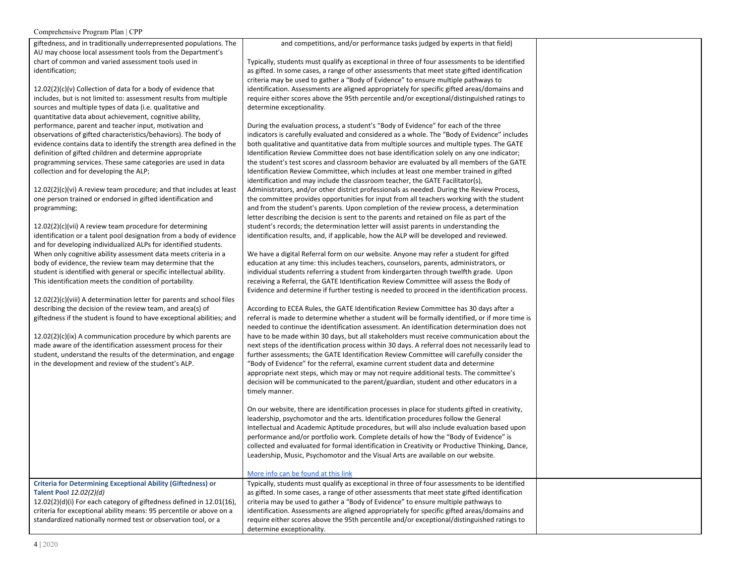giftedness, and in traditionally underrepresented populations. The AU may choose local assessment tools from the Department's chart of common and varied assessment tools used in identification;

12.02(2)(c)(v) Collection of data for a body of evidence that includes, but is not limited to: assessment results from multiple sources and multiple types of data (i.e. qualitative and quantitative data about achievement, cognitive ability, performance, parent and teacher input, motivation and observations of gifted characteristics/behaviors). The body of evidence contains data to identify the strength area defined in the definition of gifted children and determine appropriate programming services. These same categories are used in data collection and for developing the ALP;

12.02(2)(c)(vi) A review team procedure; and that includes at least one person trained or endorsed in gifted identification and programming;

12.02(2)(c)(vii) A review team procedure for determining identification or a talent pool designation from a body of evidence and for developing individualized ALPs for identified students. When only cognitive ability assessment data meets criteria in a body of evidence, the review team may determine that the student is identified with general or specific intellectual ability. This identification meets the condition of portability.

12.02(2)(c)(viii) A determination letter for parents and school files describing the decision of the review team, and area(s) of giftedness if the student is found to have exceptional abilities; and

12.02(2)(c)(ix) A communication procedure by which parents are made aware of the identification assessment process for their student, understand the results of the determination, and engage in the development and review of the student's ALP.

and competitions, and/or performance tasks judged by experts in that field)

Typically, students must qualify as exceptional in three of four assessments to be identified as gifted. In some cases, a range of other assessments that meet state gifted identification criteria may be used to gather a "Body of Evidence" to ensure multiple pathways to identification. Assessments are aligned appropriately for specific gifted areas/domains and require either scores above the 95th percentile and/or exceptional/distinguished ratings to determine exceptionality.

During the evaluation process, a student's "Body of Evidence" for each of the three indicators is carefully evaluated and considered as a whole. The "Body of Evidence" includes both qualitative and quantitative data from multiple sources and multiple types. The GATE Identification Review Committee does not base identification solely on any one indicator; the student's test scores and classroom behavior are evaluated by all members of the GATE Identification Review Committee, which includes at least one member trained in gifted identification and may include the classroom teacher, the GATE Facilitator(s), Administrators, and/or other district professionals as needed. During the Review Process, the committee provides opportunities for input from all teachers working with the student and from the student's parents. Upon completion of the review process, a determination letter describing the decision is sent to the parents and retained on file as part of the student's records; the determination letter will assist parents in understanding the identification results, and, if applicable, how the ALP will be developed and reviewed.

We have a digital Referral form on our website. Anyone may refer a student for gifted education at any time: this includes teachers, counselors, parents, administrators, or individual students referring a student from kindergarten through twelfth grade. Upon receiving a Referral, the GATE Identification Review Committee will assess the Body of Evidence and determine if further testing is needed to proceed in the identification process.

According to ECEA Rules, the GATE Identification Review Committee has 30 days after a referral is made to determine whether a student will be formally identified, or if more time is needed to continue the identification assessment. An identification determination does not have to be made within 30 days, but all stakeholders must receive communication about the next steps of the identification process within 30 days. A referral does not necessarily lead to further assessments; the GATE Identification Review Committee will carefully consider the "Body of Evidence" for the referral, examine current student data and determine appropriate next steps, which may or may not require additional tests. The committee's decision will be communicated to the parent/guardian, student and other educators in a timely manner.

On our website, there are identification processes in place for students gifted in creativity, leadership, psychomotor and the arts. Identification procedures follow the General Intellectual and Academic Aptitude procedures, but will also include evaluation based upon performance and/or portfolio work. Complete details of how the "Body of Evidence" is collected and evaluated for formal identification in Creativity or Productive Thinking, Dance, Leadership, Music, Psychomotor and the Visual Arts are available on our website.

Typically, students must qualify as exceptional in three of four assessments to be identified as gifted. In some cases, a range of other assessments that meet state gifted identification criteria may be used to gather a "Body of Evidence" to ensure multiple pathways to identification. Assessments are aligned appropriately for specific gifted areas/domains and require either scores above the 95th percentile and/or exceptional/distinguished ratings to

## More info can be [found](https://sites.google.com/mcsdtech.org/mcsdgiftededucation/identification-process#h.p_R8NbN0LUN6JS) at this link

determine exceptionality.

**Criteria for Determining Exceptional Ability (Giftedness) or Talent Pool** *12.02(2)(d)* 12.02(2)(d)(i) For each category of giftedness defined in 12.01(16),

criteria for exceptional ability means: 95 percentile or above on a standardized nationally normed test or observation tool, or a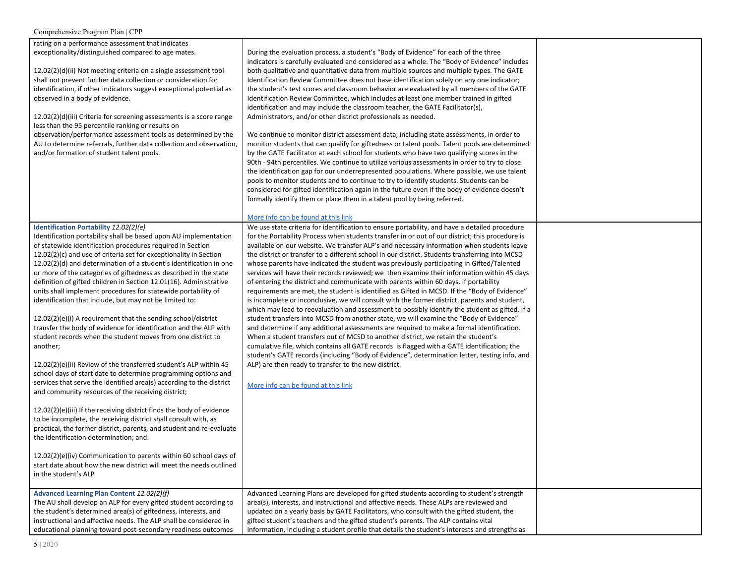| Comprehensive Program Plan   CPP                                                                                                                                                                                                                                                                                                                                                                                                                                                                                                                                                                                                                                                                                                                                                                                                                                                                                                                                                                                                                                                                                                                                                                                                                                                                                                                                                                                                                                                                                    |                                                                                                                                                                                                                                                                                                                                                                                                                                                                                                                                                                                                                                                                                                                                                                                                                                                                                                                                                                                                                                                                                                                                                                                                                                                                                                                                                                                                                                                                                                                                                                   |  |
|---------------------------------------------------------------------------------------------------------------------------------------------------------------------------------------------------------------------------------------------------------------------------------------------------------------------------------------------------------------------------------------------------------------------------------------------------------------------------------------------------------------------------------------------------------------------------------------------------------------------------------------------------------------------------------------------------------------------------------------------------------------------------------------------------------------------------------------------------------------------------------------------------------------------------------------------------------------------------------------------------------------------------------------------------------------------------------------------------------------------------------------------------------------------------------------------------------------------------------------------------------------------------------------------------------------------------------------------------------------------------------------------------------------------------------------------------------------------------------------------------------------------|-------------------------------------------------------------------------------------------------------------------------------------------------------------------------------------------------------------------------------------------------------------------------------------------------------------------------------------------------------------------------------------------------------------------------------------------------------------------------------------------------------------------------------------------------------------------------------------------------------------------------------------------------------------------------------------------------------------------------------------------------------------------------------------------------------------------------------------------------------------------------------------------------------------------------------------------------------------------------------------------------------------------------------------------------------------------------------------------------------------------------------------------------------------------------------------------------------------------------------------------------------------------------------------------------------------------------------------------------------------------------------------------------------------------------------------------------------------------------------------------------------------------------------------------------------------------|--|
| rating on a performance assessment that indicates<br>exceptionality/distinguished compared to age mates.<br>12.02(2)(d)(ii) Not meeting criteria on a single assessment tool<br>shall not prevent further data collection or consideration for<br>identification, if other indicators suggest exceptional potential as<br>observed in a body of evidence.<br>$12.02(2)(d)(iii)$ Criteria for screening assessments is a score range<br>less than the 95 percentile ranking or results on<br>observation/performance assessment tools as determined by the<br>AU to determine referrals, further data collection and observation,<br>and/or formation of student talent pools.                                                                                                                                                                                                                                                                                                                                                                                                                                                                                                                                                                                                                                                                                                                                                                                                                                       | During the evaluation process, a student's "Body of Evidence" for each of the three<br>indicators is carefully evaluated and considered as a whole. The "Body of Evidence" includes<br>both qualitative and quantitative data from multiple sources and multiple types. The GATE<br>Identification Review Committee does not base identification solely on any one indicator;<br>the student's test scores and classroom behavior are evaluated by all members of the GATE<br>Identification Review Committee, which includes at least one member trained in gifted<br>identification and may include the classroom teacher, the GATE Facilitator(s),<br>Administrators, and/or other district professionals as needed.<br>We continue to monitor district assessment data, including state assessments, in order to<br>monitor students that can qualify for giftedness or talent pools. Talent pools are determined<br>by the GATE Facilitator at each school for students who have two qualifying scores in the<br>90th - 94th percentiles. We continue to utilize various assessments in order to try to close<br>the identification gap for our underrepresented populations. Where possible, we use talent<br>pools to monitor students and to continue to try to identify students. Students can be<br>considered for gifted identification again in the future even if the body of evidence doesn't<br>formally identify them or place them in a talent pool by being referred.<br>More info can be found at this link                                    |  |
| Identification Portability 12.02(2)(e)<br>Identification portability shall be based upon AU implementation<br>of statewide identification procedures required in Section<br>12.02(2)(c) and use of criteria set for exceptionality in Section<br>$12.02(2)(d)$ and determination of a student's identification in one<br>or more of the categories of giftedness as described in the state<br>definition of gifted children in Section 12.01(16). Administrative<br>units shall implement procedures for statewide portability of<br>identification that include, but may not be limited to:<br>12.02(2)(e)(i) A requirement that the sending school/district<br>transfer the body of evidence for identification and the ALP with<br>student records when the student moves from one district to<br>another;<br>12.02(2)(e)(ii) Review of the transferred student's ALP within 45<br>school days of start date to determine programming options and<br>services that serve the identified area(s) according to the district<br>and community resources of the receiving district;<br>12.02(2)(e)(iii) If the receiving district finds the body of evidence<br>to be incomplete, the receiving district shall consult with, as<br>practical, the former district, parents, and student and re-evaluate<br>the identification determination; and.<br>12.02(2)(e)(iv) Communication to parents within 60 school days of<br>start date about how the new district will meet the needs outlined<br>in the student's ALP | We use state criteria for identification to ensure portability, and have a detailed procedure<br>for the Portability Process when students transfer in or out of our district; this procedure is<br>available on our website. We transfer ALP's and necessary information when students leave<br>the district or transfer to a different school in our district. Students transferring into MCSD<br>whose parents have indicated the student was previously participating in Gifted/Talented<br>services will have their records reviewed; we then examine their information within 45 days<br>of entering the district and communicate with parents within 60 days. If portability<br>requirements are met, the student is identified as Gifted in MCSD. If the "Body of Evidence"<br>is incomplete or inconclusive, we will consult with the former district, parents and student,<br>which may lead to reevaluation and assessment to possibly identify the student as gifted. If a<br>student transfers into MCSD from another state, we will examine the "Body of Evidence"<br>and determine if any additional assessments are required to make a formal identification.<br>When a student transfers out of MCSD to another district, we retain the student's<br>cumulative file, which contains all GATE records is flagged with a GATE identification; the<br>student's GATE records (including "Body of Evidence", determination letter, testing info, and<br>ALP) are then ready to transfer to the new district.<br>More info can be found at this link |  |
| Advanced Learning Plan Content 12.02(2)(f)<br>The AU shall develop an ALP for every gifted student according to<br>the student's determined area(s) of giftedness, interests, and<br>instructional and affective needs. The ALP shall be considered in<br>educational planning toward post-secondary readiness outcomes                                                                                                                                                                                                                                                                                                                                                                                                                                                                                                                                                                                                                                                                                                                                                                                                                                                                                                                                                                                                                                                                                                                                                                                             | Advanced Learning Plans are developed for gifted students according to student's strength<br>area(s), interests, and instructional and affective needs. These ALPs are reviewed and<br>updated on a yearly basis by GATE Facilitators, who consult with the gifted student, the<br>gifted student's teachers and the gifted student's parents. The ALP contains vital<br>information, including a student profile that details the student's interests and strengths as                                                                                                                                                                                                                                                                                                                                                                                                                                                                                                                                                                                                                                                                                                                                                                                                                                                                                                                                                                                                                                                                                           |  |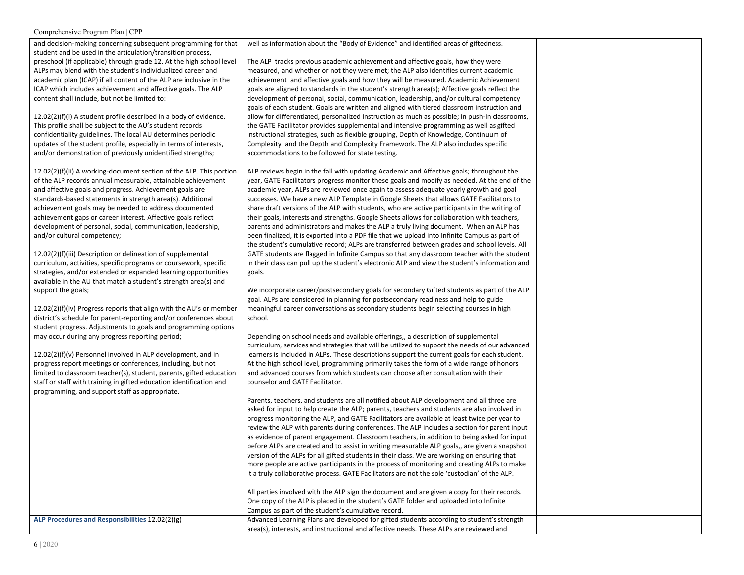and decision-making concerning subsequent programming for that student and be used in the articulation/transition process, preschool (if applicable) through grade 12. At the high school level ALPs may blend with the student's individualized career and academic plan (ICAP) if all content of the ALP are inclusive in the ICAP which includes achievement and affective goals. The ALP content shall include, but not be limited to:

12.02(2)(f)(i) A student profile described in a body of evidence. This profile shall be subject to the AU's student records confidentiality guidelines. The local AU determines periodic updates of the student profile, especially in terms of interests, and/or demonstration of previously unidentified strengths;

12.02(2)(f)(ii) A working-document section of the ALP. This portion of the ALP records annual measurable, attainable achievement and affective goals and progress. Achievement goals are standards-based statements in strength area(s). Additional achievement goals may be needed to address documented achievement gaps or career interest. Affective goals reflect development of personal, social, communication, leadership, and/or cultural competency;

12.02(2)(f)(iii) Description or delineation of supplemental curriculum, activities, specific programs or coursework, specific strategies, and/or extended or expanded learning opportunities available in the AU that match a student's strength area(s) and support the goals;

12.02(2)(f)(iv) Progress reports that align with the AU's or member district's schedule for parent-reporting and/or conferences about student progress. Adjustments to goals and programming options may occur during any progress reporting period;

12.02(2)(f)(v) Personnel involved in ALP development, and in progress report meetings or conferences, including, but not limited to classroom teacher(s), student, parents, gifted education staff or staff with training in gifted education identification and programming, and support staff as appropriate.

well as information about the "Body of Evidence" and identified areas of giftedness.

The ALP tracks previous academic achievement and affective goals, how they were measured, and whether or not they were met; the ALP also identifies current academic achievement and affective goals and how they will be measured. Academic Achievement goals are aligned to standards in the student's strength area(s); Affective goals reflect the development of personal, social, communication, leadership, and/or cultural competency goals of each student. Goals are written and aligned with tiered classroom instruction and allow for differentiated, personalized instruction as much as possible; in push-in classrooms, the GATE Facilitator provides supplemental and intensive programming as well as gifted instructional strategies, such as flexible grouping, Depth of Knowledge, Continuum of Complexity and the Depth and Complexity Framework. The ALP also includes specific accommodations to be followed for state testing.

ALP reviews begin in the fall with updating Academic and Affective goals; throughout the year, GATE Facilitators progress monitor these goals and modify as needed. At the end of the academic year, ALPs are reviewed once again to assess adequate yearly growth and goal successes. We have a new ALP Template in Google Sheets that allows GATE Facilitators to share draft versions of the ALP with students, who are active participants in the writing of their goals, interests and strengths. Google Sheets allows for collaboration with teachers, parents and administrators and makes the ALP a truly living document. When an ALP has been finalized, it is exported into a PDF file that we upload into Infinite Campus as part of the student's cumulative record; ALPs are transferred between grades and school levels. All GATE students are flagged in Infinite Campus so that any classroom teacher with the student in their class can pull up the student's electronic ALP and view the student's information and goals.

We incorporate career/postsecondary goals for secondary Gifted students as part of the ALP goal. ALPs are considered in planning for postsecondary readiness and help to guide meaningful career conversations as secondary students begin selecting courses in high school.

Depending on school needs and available offerings,, a description of supplemental curriculum, services and strategies that will be utilized to support the needs of our advanced learners is included in ALPs. These descriptions support the current goals for each student. At the high school level, programming primarily takes the form of a wide range of honors and advanced courses from which students can choose after consultation with their counselor and GATE Facilitator.

Parents, teachers, and students are all notified about ALP development and all three are asked for input to help create the ALP; parents, teachers and students are also involved in progress monitoring the ALP, and GATE Facilitators are available at least twice per year to review the ALP with parents during conferences. The ALP includes a section for parent input as evidence of parent engagement. Classroom teachers, in addition to being asked for input before ALPs are created and to assist in writing measurable ALP goals,, are given a snapshot version of the ALPs for all gifted students in their class. We are working on ensuring that more people are active participants in the process of monitoring and creating ALPs to make it a truly collaborative process. GATE Facilitators are not the sole 'custodian' of the ALP.

All parties involved with the ALP sign the document and are given a copy for their records. One copy of the ALP is placed in the student's GATE folder and uploaded into Infinite Campus as part of the student's cumulative record. ALP Procedures and Responsibilities 12.02(2)(g) Advanced Learning Plans are developed for gifted students according to student's strength area(s), interests, and instructional and affective needs. These ALPs are reviewed and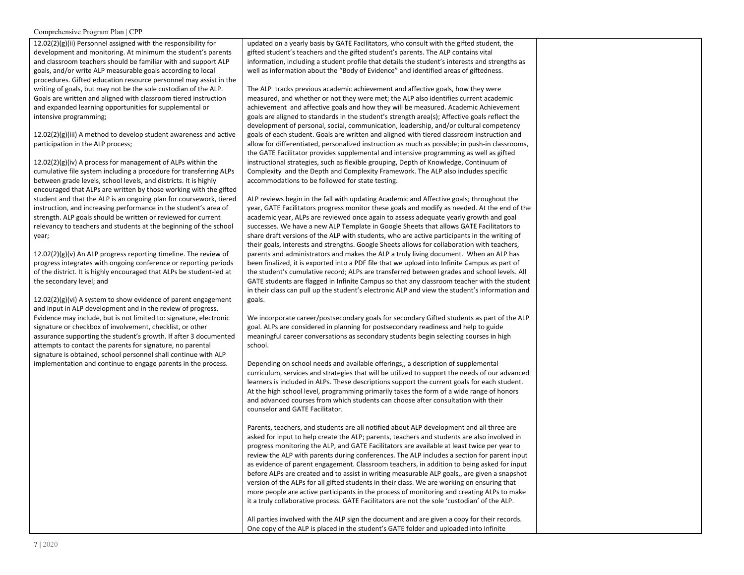12.02(2)(g)(ii) Personnel assigned with the responsibility for development and monitoring. At minimum the student's parents and classroom teachers should be familiar with and support ALP goals, and/or write ALP measurable goals according to local procedures. Gifted education resource personnel may assist in the writing of goals, but may not be the sole custodian of the ALP. Goals are written and aligned with classroom tiered instruction and expanded learning opportunities for supplemental or intensive programming;

 $12.02(2)(g)(iii)$  A method to develop student awareness and active participation in the ALP process;

12.02(2)(g)(iv) A process for management of ALPs within the cumulative file system including a procedure for transferring ALPs between grade levels, school levels, and districts. It is highly encouraged that ALPs are written by those working with the gifted student and that the ALP is an ongoing plan for coursework, tiered instruction, and increasing performance in the student's area of strength. ALP goals should be written or reviewed for current relevancy to teachers and students at the beginning of the school year;

12.02(2)(g)(v) An ALP progress reporting timeline. The review of progress integrates with ongoing conference or reporting periods of the district. It is highly encouraged that ALPs be student-led at the secondary level; and

12.02(2)(g)(vi) A system to show evidence of parent engagement and input in ALP development and in the review of progress. Evidence may include, but is not limited to: signature, electronic signature or checkbox of involvement, checklist, or other assurance supporting the student's growth. If after 3 documented attempts to contact the parents for signature, no parental signature is obtained, school personnel shall continue with ALP implementation and continue to engage parents in the process.

updated on a yearly basis by GATE Facilitators, who consult with the gifted student, the gifted student's teachers and the gifted student's parents. The ALP contains vital information, including a student profile that details the student's interests and strengths as well as information about the "Body of Evidence" and identified areas of giftedness.

The ALP tracks previous academic achievement and affective goals, how they were measured, and whether or not they were met; the ALP also identifies current academic achievement and affective goals and how they will be measured. Academic Achievement goals are aligned to standards in the student's strength area(s); Affective goals reflect the development of personal, social, communication, leadership, and/or cultural competency goals of each student. Goals are written and aligned with tiered classroom instruction and allow for differentiated, personalized instruction as much as possible; in push-in classrooms, the GATE Facilitator provides supplemental and intensive programming as well as gifted instructional strategies, such as flexible grouping, Depth of Knowledge, Continuum of Complexity and the Depth and Complexity Framework. The ALP also includes specific accommodations to be followed for state testing.

ALP reviews begin in the fall with updating Academic and Affective goals; throughout the year, GATE Facilitators progress monitor these goals and modify as needed. At the end of the academic year, ALPs are reviewed once again to assess adequate yearly growth and goal successes. We have a new ALP Template in Google Sheets that allows GATE Facilitators to share draft versions of the ALP with students, who are active participants in the writing of their goals, interests and strengths. Google Sheets allows for collaboration with teachers, parents and administrators and makes the ALP a truly living document. When an ALP has been finalized, it is exported into a PDF file that we upload into Infinite Campus as part of the student's cumulative record; ALPs are transferred between grades and school levels. All GATE students are flagged in Infinite Campus so that any classroom teacher with the student in their class can pull up the student's electronic ALP and view the student's information and goals.

We incorporate career/postsecondary goals for secondary Gifted students as part of the ALP goal. ALPs are considered in planning for postsecondary readiness and help to guide meaningful career conversations as secondary students begin selecting courses in high school.

Depending on school needs and available offerings,, a description of supplemental curriculum, services and strategies that will be utilized to support the needs of our advanced learners is included in ALPs. These descriptions support the current goals for each student. At the high school level, programming primarily takes the form of a wide range of honors and advanced courses from which students can choose after consultation with their counselor and GATE Facilitator.

Parents, teachers, and students are all notified about ALP development and all three are asked for input to help create the ALP; parents, teachers and students are also involved in progress monitoring the ALP, and GATE Facilitators are available at least twice per year to review the ALP with parents during conferences. The ALP includes a section for parent input as evidence of parent engagement. Classroom teachers, in addition to being asked for input before ALPs are created and to assist in writing measurable ALP goals,, are given a snapshot version of the ALPs for all gifted students in their class. We are working on ensuring that more people are active participants in the process of monitoring and creating ALPs to make it a truly collaborative process. GATE Facilitators are not the sole 'custodian' of the ALP.

All parties involved with the ALP sign the document and are given a copy for their records. One copy of the ALP is placed in the student's GATE folder and uploaded into Infinite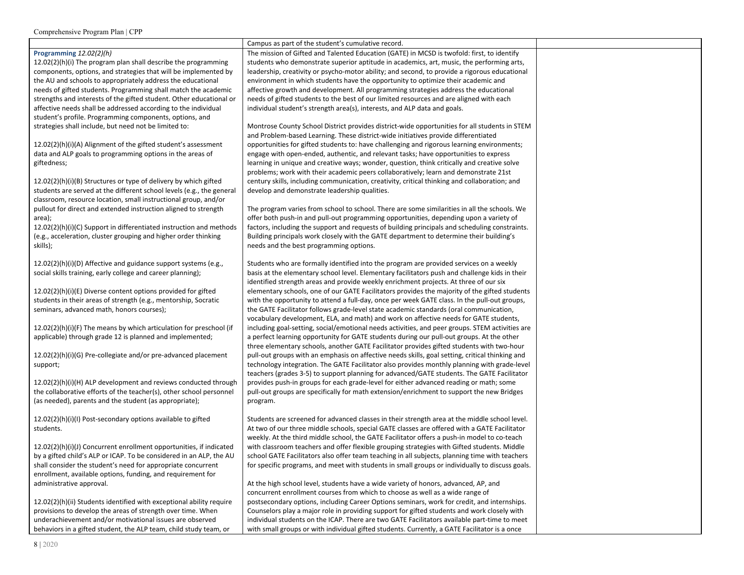|                                                                                                                               | Campus as part of the student's cumulative record.                                              |  |
|-------------------------------------------------------------------------------------------------------------------------------|-------------------------------------------------------------------------------------------------|--|
| Programming 12.02(2)(h)                                                                                                       | The mission of Gifted and Talented Education (GATE) in MCSD is twofold: first, to identify      |  |
| 12.02(2)(h)(i) The program plan shall describe the programming                                                                | students who demonstrate superior aptitude in academics, art, music, the performing arts,       |  |
| components, options, and strategies that will be implemented by                                                               | leadership, creativity or psycho-motor ability; and second, to provide a rigorous educational   |  |
| the AU and schools to appropriately address the educational                                                                   | environment in which students have the opportunity to optimize their academic and               |  |
| needs of gifted students. Programming shall match the academic                                                                | affective growth and development. All programming strategies address the educational            |  |
| strengths and interests of the gifted student. Other educational or                                                           | needs of gifted students to the best of our limited resources and are aligned with each         |  |
| affective needs shall be addressed according to the individual                                                                | individual student's strength area(s), interests, and ALP data and goals.                       |  |
| student's profile. Programming components, options, and                                                                       |                                                                                                 |  |
| strategies shall include, but need not be limited to:                                                                         | Montrose County School District provides district-wide opportunities for all students in STEM   |  |
|                                                                                                                               | and Problem-based Learning. These district-wide initiatives provide differentiated              |  |
| 12.02(2)(h)(i)(A) Alignment of the gifted student's assessment                                                                | opportunities for gifted students to: have challenging and rigorous learning environments;      |  |
| data and ALP goals to programming options in the areas of                                                                     |                                                                                                 |  |
|                                                                                                                               | engage with open-ended, authentic, and relevant tasks; have opportunities to express            |  |
| giftedness;                                                                                                                   | learning in unique and creative ways; wonder, question, think critically and creative solve     |  |
|                                                                                                                               | problems; work with their academic peers collaboratively; learn and demonstrate 21st            |  |
| 12.02(2)(h)(i)(B) Structures or type of delivery by which gifted                                                              | century skills, including communication, creativity, critical thinking and collaboration; and   |  |
| students are served at the different school levels (e.g., the general                                                         | develop and demonstrate leadership qualities.                                                   |  |
| classroom, resource location, small instructional group, and/or                                                               |                                                                                                 |  |
| pullout for direct and extended instruction aligned to strength                                                               | The program varies from school to school. There are some similarities in all the schools. We    |  |
| area);                                                                                                                        | offer both push-in and pull-out programming opportunities, depending upon a variety of          |  |
| 12.02(2)(h)(i)(C) Support in differentiated instruction and methods                                                           | factors, including the support and requests of building principals and scheduling constraints.  |  |
| (e.g., acceleration, cluster grouping and higher order thinking                                                               | Building principals work closely with the GATE department to determine their building's         |  |
| skills);                                                                                                                      | needs and the best programming options.                                                         |  |
|                                                                                                                               |                                                                                                 |  |
| 12.02(2)(h)(i)(D) Affective and guidance support systems (e.g.,                                                               | Students who are formally identified into the program are provided services on a weekly         |  |
| social skills training, early college and career planning);                                                                   | basis at the elementary school level. Elementary facilitators push and challenge kids in their  |  |
|                                                                                                                               | identified strength areas and provide weekly enrichment projects. At three of our six           |  |
| 12.02(2)(h)(i)(E) Diverse content options provided for gifted                                                                 |                                                                                                 |  |
|                                                                                                                               | elementary schools, one of our GATE Facilitators provides the majority of the gifted students   |  |
| students in their areas of strength (e.g., mentorship, Socratic                                                               | with the opportunity to attend a full-day, once per week GATE class. In the pull-out groups,    |  |
| seminars, advanced math, honors courses);                                                                                     | the GATE Facilitator follows grade-level state academic standards (oral communication,          |  |
|                                                                                                                               | vocabulary development, ELA, and math) and work on affective needs for GATE students,           |  |
| $12.02(2)(h)(i)(F)$ The means by which articulation for preschool (if                                                         | including goal-setting, social/emotional needs activities, and peer groups. STEM activities are |  |
| applicable) through grade 12 is planned and implemented;                                                                      | a perfect learning opportunity for GATE students during our pull-out groups. At the other       |  |
|                                                                                                                               | three elementary schools, another GATE Facilitator provides gifted students with two-hour       |  |
| 12.02(2)(h)(i)(G) Pre-collegiate and/or pre-advanced placement                                                                | pull-out groups with an emphasis on affective needs skills, goal setting, critical thinking and |  |
| support;                                                                                                                      | technology integration. The GATE Facilitator also provides monthly planning with grade-level    |  |
|                                                                                                                               | teachers (grades 3-5) to support planning for advanced/GATE students. The GATE Facilitator      |  |
| 12.02(2)(h)(i)(H) ALP development and reviews conducted through                                                               | provides push-in groups for each grade-level for either advanced reading or math; some          |  |
| the collaborative efforts of the teacher(s), other school personnel                                                           | pull-out groups are specifically for math extension/enrichment to support the new Bridges       |  |
| (as needed), parents and the student (as appropriate);                                                                        | program.                                                                                        |  |
|                                                                                                                               |                                                                                                 |  |
| 12.02(2)(h)(i)(l) Post-secondary options available to gifted                                                                  | Students are screened for advanced classes in their strength area at the middle school level.   |  |
| students.                                                                                                                     | At two of our three middle schools, special GATE classes are offered with a GATE Facilitator    |  |
|                                                                                                                               | weekly. At the third middle school, the GATE Facilitator offers a push-in model to co-teach     |  |
| 12.02(2)(h)(i)(J) Concurrent enrollment opportunities, if indicated                                                           | with classroom teachers and offer flexible grouping strategies with Gifted students. Middle     |  |
| by a gifted child's ALP or ICAP. To be considered in an ALP, the AU                                                           | school GATE Facilitators also offer team teaching in all subjects, planning time with teachers  |  |
| shall consider the student's need for appropriate concurrent                                                                  | for specific programs, and meet with students in small groups or individually to discuss goals. |  |
| enrollment, available options, funding, and requirement for                                                                   |                                                                                                 |  |
|                                                                                                                               |                                                                                                 |  |
| administrative approval.                                                                                                      | At the high school level, students have a wide variety of honors, advanced, AP, and             |  |
|                                                                                                                               | concurrent enrollment courses from which to choose as well as a wide range of                   |  |
| 12.02(2)(h)(ii) Students identified with exceptional ability require                                                          | postsecondary options, including Career Options seminars, work for credit, and internships.     |  |
| provisions to develop the areas of strength over time. When                                                                   | Counselors play a major role in providing support for gifted students and work closely with     |  |
|                                                                                                                               | individual students on the ICAP. There are two GATE Facilitators available part-time to meet    |  |
| underachievement and/or motivational issues are observed<br>behaviors in a gifted student, the ALP team, child study team, or | with small groups or with individual gifted students. Currently, a GATE Facilitator is a once   |  |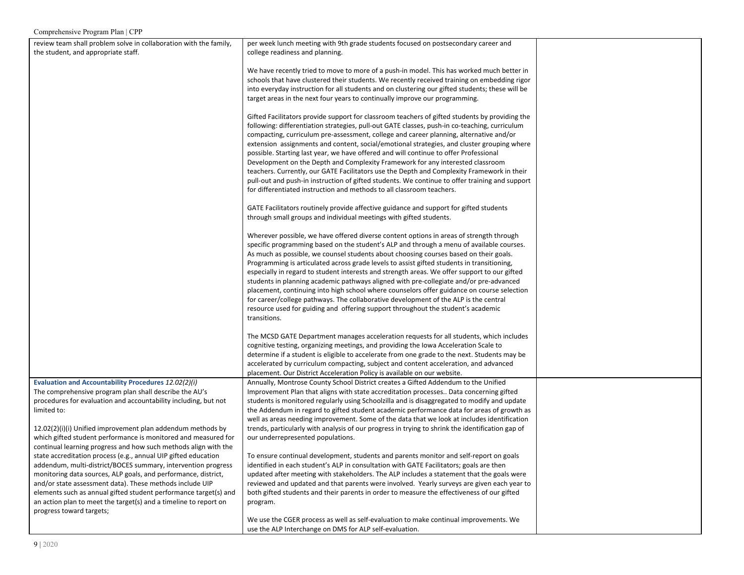| review team shall problem solve in collaboration with the family, | per week lunch meeting with 9th grade students focused on postsecondary career and               |  |
|-------------------------------------------------------------------|--------------------------------------------------------------------------------------------------|--|
| the student, and appropriate staff.                               | college readiness and planning.                                                                  |  |
|                                                                   |                                                                                                  |  |
|                                                                   | We have recently tried to move to more of a push-in model. This has worked much better in        |  |
|                                                                   | schools that have clustered their students. We recently received training on embedding rigor     |  |
|                                                                   | into everyday instruction for all students and on clustering our gifted students; these will be  |  |
|                                                                   | target areas in the next four years to continually improve our programming.                      |  |
|                                                                   |                                                                                                  |  |
|                                                                   | Gifted Facilitators provide support for classroom teachers of gifted students by providing the   |  |
|                                                                   | following: differentiation strategies, pull-out GATE classes, push-in co-teaching, curriculum    |  |
|                                                                   |                                                                                                  |  |
|                                                                   | compacting, curriculum pre-assessment, college and career planning, alternative and/or           |  |
|                                                                   | extension assignments and content, social/emotional strategies, and cluster grouping where       |  |
|                                                                   | possible. Starting last year, we have offered and will continue to offer Professional            |  |
|                                                                   | Development on the Depth and Complexity Framework for any interested classroom                   |  |
|                                                                   | teachers. Currently, our GATE Facilitators use the Depth and Complexity Framework in their       |  |
|                                                                   | pull-out and push-in instruction of gifted students. We continue to offer training and support   |  |
|                                                                   | for differentiated instruction and methods to all classroom teachers.                            |  |
|                                                                   |                                                                                                  |  |
|                                                                   | GATE Facilitators routinely provide affective guidance and support for gifted students           |  |
|                                                                   | through small groups and individual meetings with gifted students.                               |  |
|                                                                   |                                                                                                  |  |
|                                                                   | Wherever possible, we have offered diverse content options in areas of strength through          |  |
|                                                                   | specific programming based on the student's ALP and through a menu of available courses.         |  |
|                                                                   | As much as possible, we counsel students about choosing courses based on their goals.            |  |
|                                                                   | Programming is articulated across grade levels to assist gifted students in transitioning,       |  |
|                                                                   | especially in regard to student interests and strength areas. We offer support to our gifted     |  |
|                                                                   | students in planning academic pathways aligned with pre-collegiate and/or pre-advanced           |  |
|                                                                   | placement, continuing into high school where counselors offer guidance on course selection       |  |
|                                                                   | for career/college pathways. The collaborative development of the ALP is the central             |  |
|                                                                   |                                                                                                  |  |
|                                                                   | resource used for guiding and offering support throughout the student's academic<br>transitions. |  |
|                                                                   |                                                                                                  |  |
|                                                                   |                                                                                                  |  |
|                                                                   | The MCSD GATE Department manages acceleration requests for all students, which includes          |  |
|                                                                   | cognitive testing, organizing meetings, and providing the Iowa Acceleration Scale to             |  |
|                                                                   | determine if a student is eligible to accelerate from one grade to the next. Students may be     |  |
|                                                                   | accelerated by curriculum compacting, subject and content acceleration, and advanced             |  |
|                                                                   | placement. Our District Acceleration Policy is available on our website.                         |  |
| Evaluation and Accountability Procedures 12.02(2)(i)              | Annually, Montrose County School District creates a Gifted Addendum to the Unified               |  |
| The comprehensive program plan shall describe the AU's            | Improvement Plan that aligns with state accreditation processes Data concerning gifted           |  |
| procedures for evaluation and accountability including, but not   | students is monitored regularly using Schoolzilla and is disaggregated to modify and update      |  |
| limited to:                                                       | the Addendum in regard to gifted student academic performance data for areas of growth as        |  |
|                                                                   | well as areas needing improvement. Some of the data that we look at includes identification      |  |
| 12.02(2)(i)(i) Unified improvement plan addendum methods by       | trends, particularly with analysis of our progress in trying to shrink the identification gap of |  |
| which gifted student performance is monitored and measured for    | our underrepresented populations.                                                                |  |
| continual learning progress and how such methods align with the   |                                                                                                  |  |
| state accreditation process (e.g., annual UIP gifted education    | To ensure continual development, students and parents monitor and self-report on goals           |  |
| addendum, multi-district/BOCES summary, intervention progress     | identified in each student's ALP in consultation with GATE Facilitators; goals are then          |  |
| monitoring data sources, ALP goals, and performance, district,    | updated after meeting with stakeholders. The ALP includes a statement that the goals were        |  |
| and/or state assessment data). These methods include UIP          | reviewed and updated and that parents were involved. Yearly surveys are given each year to       |  |
| elements such as annual gifted student performance target(s) and  | both gifted students and their parents in order to measure the effectiveness of our gifted       |  |
| an action plan to meet the target(s) and a timeline to report on  | program.                                                                                         |  |
| progress toward targets;                                          |                                                                                                  |  |
|                                                                   | We use the CGER process as well as self-evaluation to make continual improvements. We            |  |
|                                                                   | use the ALP Interchange on DMS for ALP self-evaluation.                                          |  |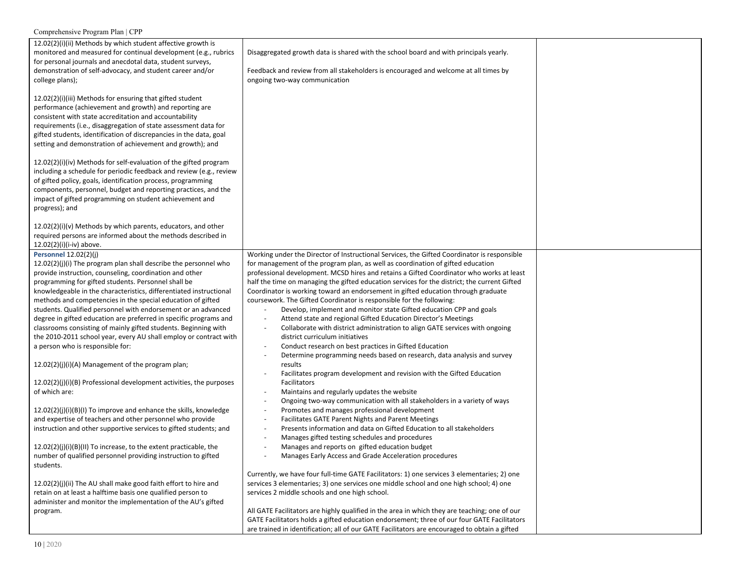| Comprehensive Program Plan   CPP                                                                                                                                                                                                                                                                                                                                                                                                                                                                                                                                                                                                                                                                                                                                                                                                                                                                                                                                                                                                  |                                                                                                                                                                                                                                                                                                                                                                                                                                                                                                                                                                                                                                                                                                                                                                                                                                                                                                                                                                                                                                                                                                                                                                                                                                                                                                                                                                                                                  |  |
|-----------------------------------------------------------------------------------------------------------------------------------------------------------------------------------------------------------------------------------------------------------------------------------------------------------------------------------------------------------------------------------------------------------------------------------------------------------------------------------------------------------------------------------------------------------------------------------------------------------------------------------------------------------------------------------------------------------------------------------------------------------------------------------------------------------------------------------------------------------------------------------------------------------------------------------------------------------------------------------------------------------------------------------|------------------------------------------------------------------------------------------------------------------------------------------------------------------------------------------------------------------------------------------------------------------------------------------------------------------------------------------------------------------------------------------------------------------------------------------------------------------------------------------------------------------------------------------------------------------------------------------------------------------------------------------------------------------------------------------------------------------------------------------------------------------------------------------------------------------------------------------------------------------------------------------------------------------------------------------------------------------------------------------------------------------------------------------------------------------------------------------------------------------------------------------------------------------------------------------------------------------------------------------------------------------------------------------------------------------------------------------------------------------------------------------------------------------|--|
| 12.02(2)(i)(ii) Methods by which student affective growth is<br>monitored and measured for continual development (e.g., rubrics<br>for personal journals and anecdotal data, student surveys,<br>demonstration of self-advocacy, and student career and/or<br>college plans);                                                                                                                                                                                                                                                                                                                                                                                                                                                                                                                                                                                                                                                                                                                                                     | Disaggregated growth data is shared with the school board and with principals yearly.<br>Feedback and review from all stakeholders is encouraged and welcome at all times by<br>ongoing two-way communication                                                                                                                                                                                                                                                                                                                                                                                                                                                                                                                                                                                                                                                                                                                                                                                                                                                                                                                                                                                                                                                                                                                                                                                                    |  |
| 12.02(2)(i)(iii) Methods for ensuring that gifted student<br>performance (achievement and growth) and reporting are<br>consistent with state accreditation and accountability<br>requirements (i.e., disaggregation of state assessment data for<br>gifted students, identification of discrepancies in the data, goal<br>setting and demonstration of achievement and growth); and                                                                                                                                                                                                                                                                                                                                                                                                                                                                                                                                                                                                                                               |                                                                                                                                                                                                                                                                                                                                                                                                                                                                                                                                                                                                                                                                                                                                                                                                                                                                                                                                                                                                                                                                                                                                                                                                                                                                                                                                                                                                                  |  |
| 12.02(2)(i)(iv) Methods for self-evaluation of the gifted program<br>including a schedule for periodic feedback and review (e.g., review<br>of gifted policy, goals, identification process, programming<br>components, personnel, budget and reporting practices, and the<br>impact of gifted programming on student achievement and<br>progress); and                                                                                                                                                                                                                                                                                                                                                                                                                                                                                                                                                                                                                                                                           |                                                                                                                                                                                                                                                                                                                                                                                                                                                                                                                                                                                                                                                                                                                                                                                                                                                                                                                                                                                                                                                                                                                                                                                                                                                                                                                                                                                                                  |  |
| $12.02(2)(i)(v)$ Methods by which parents, educators, and other<br>required persons are informed about the methods described in<br>$12.02(2)(i)(i-i\nu)$ above.                                                                                                                                                                                                                                                                                                                                                                                                                                                                                                                                                                                                                                                                                                                                                                                                                                                                   |                                                                                                                                                                                                                                                                                                                                                                                                                                                                                                                                                                                                                                                                                                                                                                                                                                                                                                                                                                                                                                                                                                                                                                                                                                                                                                                                                                                                                  |  |
| <b>Personnel 12.02(2)(j)</b><br>12.02(2)(i)(i) The program plan shall describe the personnel who<br>provide instruction, counseling, coordination and other<br>programming for gifted students. Personnel shall be<br>knowledgeable in the characteristics, differentiated instructional<br>methods and competencies in the special education of gifted<br>students. Qualified personnel with endorsement or an advanced<br>degree in gifted education are preferred in specific programs and<br>classrooms consisting of mainly gifted students. Beginning with<br>the 2010-2011 school year, every AU shall employ or contract with<br>a person who is responsible for:<br>$12.02(2)(j)(i)(A)$ Management of the program plan;<br>$12.02(2)(j)(i)(B)$ Professional development activities, the purposes<br>of which are:<br>12.02(2)(j)(i)(B)(I) To improve and enhance the skills, knowledge<br>and expertise of teachers and other personnel who provide<br>instruction and other supportive services to gifted students; and | Working under the Director of Instructional Services, the Gifted Coordinator is responsible<br>for management of the program plan, as well as coordination of gifted education<br>professional development. MCSD hires and retains a Gifted Coordinator who works at least<br>half the time on managing the gifted education services for the district; the current Gifted<br>Coordinator is working toward an endorsement in gifted education through graduate<br>coursework. The Gifted Coordinator is responsible for the following:<br>Develop, implement and monitor state Gifted education CPP and goals<br>Attend state and regional Gifted Education Director's Meetings<br>Collaborate with district administration to align GATE services with ongoing<br>$\overline{\phantom{a}}$<br>district curriculum initiatives<br>Conduct research on best practices in Gifted Education<br>Determine programming needs based on research, data analysis and survey<br>results<br>Facilitates program development and revision with the Gifted Education<br>Facilitators<br>Maintains and regularly updates the website<br>Ongoing two-way communication with all stakeholders in a variety of ways<br>$\overline{\phantom{a}}$<br>Promotes and manages professional development<br>Facilitates GATE Parent Nights and Parent Meetings<br>Presents information and data on Gifted Education to all stakeholders |  |
| 12.02(2)(j)(i)(B)(II) To increase, to the extent practicable, the<br>number of qualified personnel providing instruction to gifted<br>students.                                                                                                                                                                                                                                                                                                                                                                                                                                                                                                                                                                                                                                                                                                                                                                                                                                                                                   | Manages gifted testing schedules and procedures<br>Manages and reports on gifted education budget<br>Manages Early Access and Grade Acceleration procedures                                                                                                                                                                                                                                                                                                                                                                                                                                                                                                                                                                                                                                                                                                                                                                                                                                                                                                                                                                                                                                                                                                                                                                                                                                                      |  |
| 12.02(2)(j)(ii) The AU shall make good faith effort to hire and<br>retain on at least a halftime basis one qualified person to<br>administer and monitor the implementation of the AU's gifted<br>program.                                                                                                                                                                                                                                                                                                                                                                                                                                                                                                                                                                                                                                                                                                                                                                                                                        | Currently, we have four full-time GATE Facilitators: 1) one services 3 elementaries; 2) one<br>services 3 elementaries; 3) one services one middle school and one high school; 4) one<br>services 2 middle schools and one high school.<br>All GATE Facilitators are highly qualified in the area in which they are teaching; one of our<br>GATE Facilitators holds a gifted education endorsement; three of our four GATE Facilitators<br>are trained in identification; all of our GATE Facilitators are encouraged to obtain a gifted                                                                                                                                                                                                                                                                                                                                                                                                                                                                                                                                                                                                                                                                                                                                                                                                                                                                         |  |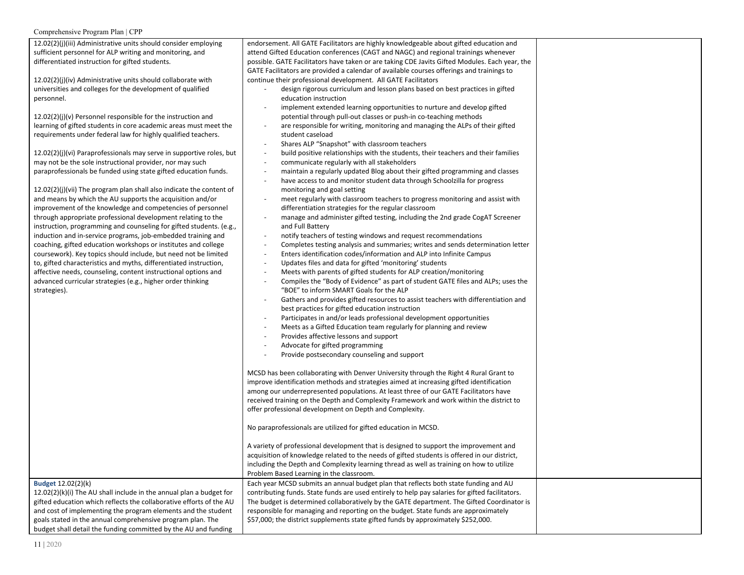| 12.02(2)(j)(iii) Administrative units should consider employing      | endorsement. All GATE Facilitators are highly knowledgeable about gifted education and                        |  |
|----------------------------------------------------------------------|---------------------------------------------------------------------------------------------------------------|--|
| sufficient personnel for ALP writing and monitoring, and             | attend Gifted Education conferences (CAGT and NAGC) and regional trainings whenever                           |  |
| differentiated instruction for gifted students.                      | possible. GATE Facilitators have taken or are taking CDE Javits Gifted Modules. Each year, the                |  |
|                                                                      | GATE Facilitators are provided a calendar of available courses offerings and trainings to                     |  |
| 12.02(2)(j)(iv) Administrative units should collaborate with         | continue their professional development. All GATE Facilitators                                                |  |
| universities and colleges for the development of qualified           | design rigorous curriculum and lesson plans based on best practices in gifted                                 |  |
| personnel.                                                           | education instruction                                                                                         |  |
|                                                                      | implement extended learning opportunities to nurture and develop gifted                                       |  |
| 12.02(2)(j)(v) Personnel responsible for the instruction and         | potential through pull-out classes or push-in co-teaching methods                                             |  |
| learning of gifted students in core academic areas must meet the     | are responsible for writing, monitoring and managing the ALPs of their gifted<br>$\overline{\phantom{a}}$     |  |
| requirements under federal law for highly qualified teachers.        | student caseload                                                                                              |  |
|                                                                      | Shares ALP "Snapshot" with classroom teachers<br>$\overline{\phantom{a}}$                                     |  |
| 12.02(2)(j)(vi) Paraprofessionals may serve in supportive roles, but | build positive relationships with the students, their teachers and their families<br>$\overline{\phantom{a}}$ |  |
| may not be the sole instructional provider, nor may such             | communicate regularly with all stakeholders<br>$\overline{\phantom{a}}$                                       |  |
| paraprofessionals be funded using state gifted education funds.      | maintain a regularly updated Blog about their gifted programming and classes<br>$\overline{\phantom{a}}$      |  |
|                                                                      | have access to and monitor student data through Schoolzilla for progress<br>$\overline{\phantom{a}}$          |  |
| 12.02(2)(j)(vii) The program plan shall also indicate the content of | monitoring and goal setting                                                                                   |  |
| and means by which the AU supports the acquisition and/or            | meet regularly with classroom teachers to progress monitoring and assist with<br>$\overline{\phantom{a}}$     |  |
| improvement of the knowledge and competencies of personnel           | differentiation strategies for the regular classroom                                                          |  |
| through appropriate professional development relating to the         | manage and administer gifted testing, including the 2nd grade CogAT Screener<br>$\overline{\phantom{a}}$      |  |
| instruction, programming and counseling for gifted students. (e.g.,  | and Full Battery                                                                                              |  |
| induction and in-service programs, job-embedded training and         | notify teachers of testing windows and request recommendations<br>$\overline{\phantom{a}}$                    |  |
| coaching, gifted education workshops or institutes and college       | Completes testing analysis and summaries; writes and sends determination letter<br>$\overline{\phantom{a}}$   |  |
| coursework). Key topics should include, but need not be limited      | Enters identification codes/information and ALP into Infinite Campus<br>$\overline{\phantom{a}}$              |  |
| to, gifted characteristics and myths, differentiated instruction,    | Updates files and data for gifted 'monitoring' students<br>$\overline{\phantom{a}}$                           |  |
| affective needs, counseling, content instructional options and       | Meets with parents of gifted students for ALP creation/monitoring<br>$\overline{\phantom{a}}$                 |  |
| advanced curricular strategies (e.g., higher order thinking          | $\blacksquare$                                                                                                |  |
|                                                                      | Compiles the "Body of Evidence" as part of student GATE files and ALPs; uses the                              |  |
| strategies).                                                         | "BOE" to inform SMART Goals for the ALP                                                                       |  |
|                                                                      | Gathers and provides gifted resources to assist teachers with differentiation and                             |  |
|                                                                      | best practices for gifted education instruction                                                               |  |
|                                                                      | Participates in and/or leads professional development opportunities<br>$\overline{\phantom{a}}$               |  |
|                                                                      | Meets as a Gifted Education team regularly for planning and review<br>$\sim$                                  |  |
|                                                                      | Provides affective lessons and support<br>$\overline{\phantom{a}}$                                            |  |
|                                                                      | Advocate for gifted programming                                                                               |  |
|                                                                      | Provide postsecondary counseling and support                                                                  |  |
|                                                                      |                                                                                                               |  |
|                                                                      | MCSD has been collaborating with Denver University through the Right 4 Rural Grant to                         |  |
|                                                                      | improve identification methods and strategies aimed at increasing gifted identification                       |  |
|                                                                      | among our underrepresented populations. At least three of our GATE Facilitators have                          |  |
|                                                                      | received training on the Depth and Complexity Framework and work within the district to                       |  |
|                                                                      | offer professional development on Depth and Complexity.                                                       |  |
|                                                                      |                                                                                                               |  |
|                                                                      | No paraprofessionals are utilized for gifted education in MCSD.                                               |  |
|                                                                      |                                                                                                               |  |
|                                                                      | A variety of professional development that is designed to support the improvement and                         |  |
|                                                                      | acquisition of knowledge related to the needs of gifted students is offered in our district,                  |  |
|                                                                      | including the Depth and Complexity learning thread as well as training on how to utilize                      |  |
|                                                                      | Problem Based Learning in the classroom.                                                                      |  |
| Budget 12.02(2)(k)                                                   | Each year MCSD submits an annual budget plan that reflects both state funding and AU                          |  |
| 12.02(2)(k)(i) The AU shall include in the annual plan a budget for  | contributing funds. State funds are used entirely to help pay salaries for gifted facilitators.               |  |
| gifted education which reflects the collaborative efforts of the AU  | The budget is determined collaboratively by the GATE department. The Gifted Coordinator is                    |  |
| and cost of implementing the program elements and the student        | responsible for managing and reporting on the budget. State funds are approximately                           |  |
| goals stated in the annual comprehensive program plan. The           | \$57,000; the district supplements state gifted funds by approximately \$252,000.                             |  |
| budget shall detail the funding committed by the AU and funding      |                                                                                                               |  |

Ξ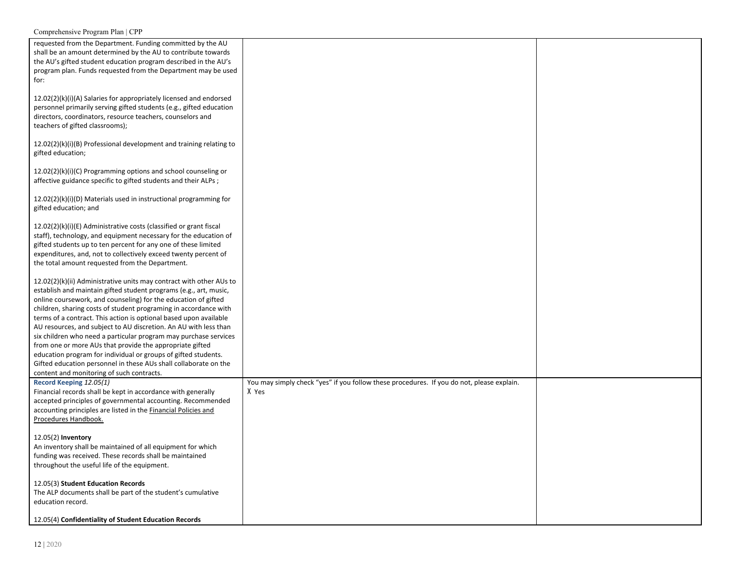| Comprehensive Program Plan   CPP                                                                                                                                                                                                                                                                                                                                                                                                                                                                                                                                                                                                                                                                                                           |                                                                                                    |  |
|--------------------------------------------------------------------------------------------------------------------------------------------------------------------------------------------------------------------------------------------------------------------------------------------------------------------------------------------------------------------------------------------------------------------------------------------------------------------------------------------------------------------------------------------------------------------------------------------------------------------------------------------------------------------------------------------------------------------------------------------|----------------------------------------------------------------------------------------------------|--|
| requested from the Department. Funding committed by the AU<br>shall be an amount determined by the AU to contribute towards<br>the AU's gifted student education program described in the AU's<br>program plan. Funds requested from the Department may be used<br>for:                                                                                                                                                                                                                                                                                                                                                                                                                                                                    |                                                                                                    |  |
| 12.02(2)(k)(i)(A) Salaries for appropriately licensed and endorsed<br>personnel primarily serving gifted students (e.g., gifted education<br>directors, coordinators, resource teachers, counselors and<br>teachers of gifted classrooms);                                                                                                                                                                                                                                                                                                                                                                                                                                                                                                 |                                                                                                    |  |
| 12.02(2)(k)(i)(B) Professional development and training relating to<br>gifted education;                                                                                                                                                                                                                                                                                                                                                                                                                                                                                                                                                                                                                                                   |                                                                                                    |  |
| 12.02(2)(k)(i)(C) Programming options and school counseling or<br>affective guidance specific to gifted students and their ALPs;                                                                                                                                                                                                                                                                                                                                                                                                                                                                                                                                                                                                           |                                                                                                    |  |
| 12.02(2)(k)(i)(D) Materials used in instructional programming for<br>gifted education; and                                                                                                                                                                                                                                                                                                                                                                                                                                                                                                                                                                                                                                                 |                                                                                                    |  |
| 12.02(2)(k)(i)(E) Administrative costs (classified or grant fiscal<br>staff), technology, and equipment necessary for the education of<br>gifted students up to ten percent for any one of these limited<br>expenditures, and, not to collectively exceed twenty percent of<br>the total amount requested from the Department.                                                                                                                                                                                                                                                                                                                                                                                                             |                                                                                                    |  |
| 12.02(2)(k)(ii) Administrative units may contract with other AUs to<br>establish and maintain gifted student programs (e.g., art, music,<br>online coursework, and counseling) for the education of gifted<br>children, sharing costs of student programing in accordance with<br>terms of a contract. This action is optional based upon available<br>AU resources, and subject to AU discretion. An AU with less than<br>six children who need a particular program may purchase services<br>from one or more AUs that provide the appropriate gifted<br>education program for individual or groups of gifted students.<br>Gifted education personnel in these AUs shall collaborate on the<br>content and monitoring of such contracts. |                                                                                                    |  |
| Record Keeping 12.05(1)<br>Financial records shall be kept in accordance with generally<br>accepted principles of governmental accounting. Recommended<br>accounting principles are listed in the Financial Policies and<br>Procedures Handbook.                                                                                                                                                                                                                                                                                                                                                                                                                                                                                           | You may simply check "yes" if you follow these procedures. If you do not, please explain.<br>X Yes |  |
| $12.05(2)$ Inventory<br>An inventory shall be maintained of all equipment for which<br>funding was received. These records shall be maintained<br>throughout the useful life of the equipment.                                                                                                                                                                                                                                                                                                                                                                                                                                                                                                                                             |                                                                                                    |  |
| 12.05(3) Student Education Records<br>The ALP documents shall be part of the student's cumulative<br>education record.                                                                                                                                                                                                                                                                                                                                                                                                                                                                                                                                                                                                                     |                                                                                                    |  |
| 12.05(4) Confidentiality of Student Education Records                                                                                                                                                                                                                                                                                                                                                                                                                                                                                                                                                                                                                                                                                      |                                                                                                    |  |